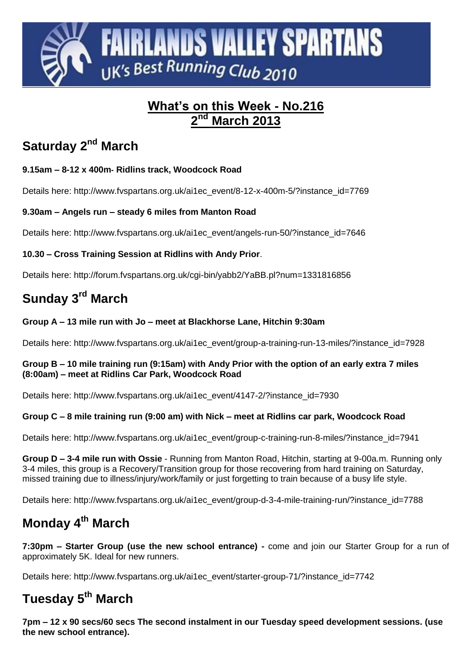

#### **What's on this Week - No.216 2 March** 2013

# **Saturday 2<sup>nd</sup> March**

### **9.15am – 8-12 x 400m- Ridlins track, Woodcock Road**

Details here: http://www.fvspartans.org.uk/ai1ec\_event/8-12-x-400m-5/?instance\_id=7769

### **9.30am – Angels run – steady 6 miles from Manton Road**

Details here: http://www.fvspartans.org.uk/ai1ec\_event/angels-run-50/?instance\_id=7646

### **10.30 – Cross Training Session at Ridlins with Andy Prior**.

Details here:<http://forum.fvspartans.org.uk/cgi-bin/yabb2/YaBB.pl?num=1331816856>

# **Sunday 3 rd March**

### **Group A – 13 mile run with Jo – meet at Blackhorse Lane, Hitchin 9:30am**

Details here: http://www.fvspartans.org.uk/ai1ec\_event/group-a-training-run-13-miles/?instance\_id=7928

### **Group B – 10 mile training run (9:15am) with Andy Prior with the option of an early extra 7 miles (8:00am) – meet at Ridlins Car Park, Woodcock Road**

Details here: http://www.fvspartans.org.uk/ai1ec\_event/4147-2/?instance\_id=7930

### **Group C – 8 mile training run (9:00 am) with Nick – meet at Ridlins car park, Woodcock Road**

Details here: http://www.fvspartans.org.uk/ai1ec\_event/group-c-training-run-8-miles/?instance\_id=7941

**Group D – 3-4 mile run with Ossie** - Running from Manton Road, Hitchin, starting at 9-00a.m. Running only 3-4 miles, this group is a Recovery/Transition group for those recovering from hard training on Saturday, missed training due to illness/injury/work/family or just forgetting to train because of a busy life style.

Details here: http://www.fvspartans.org.uk/ai1ec\_event/group-d-3-4-mile-training-run/?instance\_id=7788

# **Monday 4 th March**

**7:30pm – Starter Group (use the new school entrance) -** come and join our Starter Group for a run of approximately 5K. Ideal for new runners.

Details here: http://www.fvspartans.org.uk/ai1ec\_event/starter-group-71/?instance\_id=7742

## **Tuesday 5 th March**

**7pm – 12 x 90 secs/60 secs The second instalment in our Tuesday speed development sessions. (use the new school entrance).**